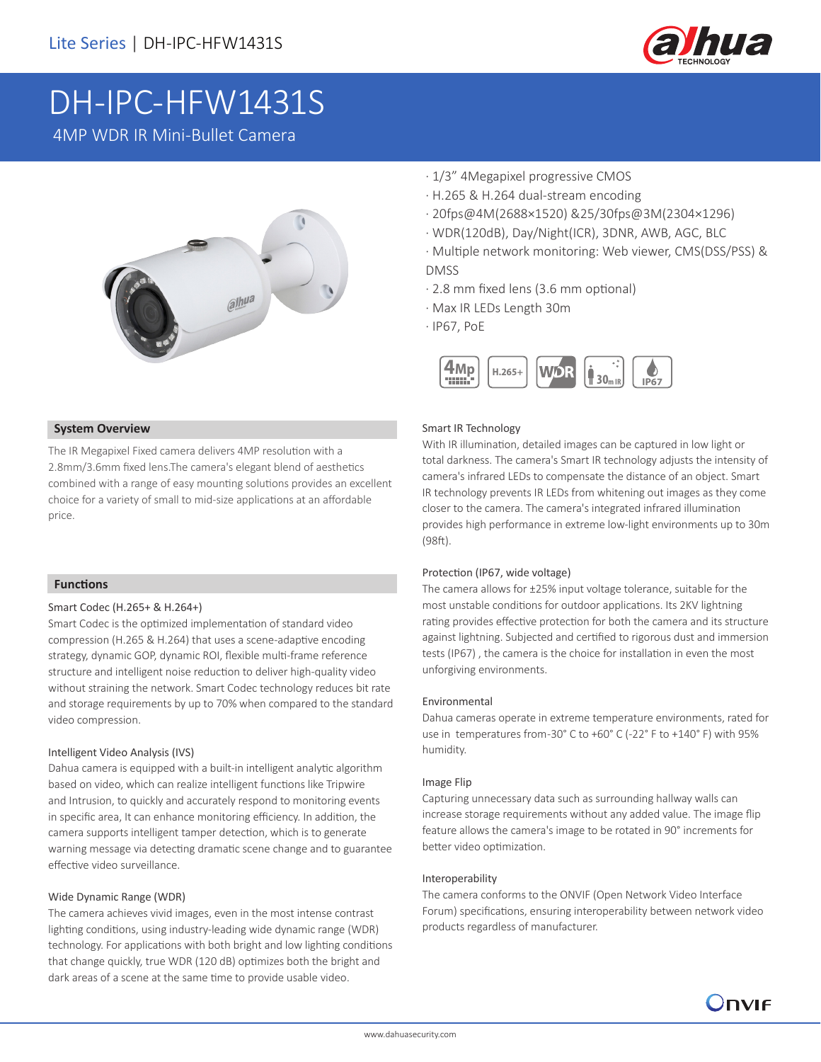

# DH-IPC-HFW1431S

4MP WDR IR Mini-Bullet Camera

# alhua

### **System Overview**

The IR Megapixel Fixed camera delivers 4MP resolution with a 2.8mm/3.6mm fixed lens.The camera's elegant blend of aesthetics combined with a range of easy mounting solutions provides an excellent choice for a variety of small to mid-size applications at an affordable price.

### **Functions**

### Smart Codec (H.265+ & H.264+)

Smart Codec is the optimized implementation of standard video compression (H.265 & H.264) that uses a scene-adaptive encoding strategy, dynamic GOP, dynamic ROI, flexible multi-frame reference structure and intelligent noise reduction to deliver high-quality video without straining the network. Smart Codec technology reduces bit rate and storage requirements by up to 70% when compared to the standard video compression.

### Intelligent Video Analysis (IVS)

Dahua camera is equipped with a built-in intelligent analytic algorithm based on video, which can realize intelligent functions like Tripwire and Intrusion, to quickly and accurately respond to monitoring events in specific area, It can enhance monitoring efficiency. In addition, the camera supports intelligent tamper detection, which is to generate warning message via detecting dramatic scene change and to guarantee effective video surveillance.

### Wide Dynamic Range (WDR)

The camera achieves vivid images, even in the most intense contrast lighting conditions, using industry-leading wide dynamic range (WDR) technology. For applications with both bright and low lighting conditions that change quickly, true WDR (120 dB) optimizes both the bright and dark areas of a scene at the same time to provide usable video.

- · 1/3" 4Megapixel progressive CMOS
- · H.265 & H.264 dual-stream encoding
- · 20fps@4M(2688×1520) &25/30fps@3M(2304×1296)
- · WDR(120dB), Day/Night(ICR), 3DNR, AWB, AGC, BLC
- · Multiple network monitoring: Web viewer, CMS(DSS/PSS) & DMSS
- · 2.8 mm fixed lens (3.6 mm optional)
- · Max IR LEDs Length 30m
- · IP67, PoE



### Smart IR Technology

With IR illumination, detailed images can be captured in low light or total darkness. The camera's Smart IR technology adjusts the intensity of camera's infrared LEDs to compensate the distance of an object. Smart IR technology prevents IR LEDs from whitening out images as they come closer to the camera. The camera's integrated infrared illumination provides high performance in extreme low-light environments up to 30m (98ft).

### Protection (IP67, wide voltage)

The camera allows for ±25% input voltage tolerance, suitable for the most unstable conditions for outdoor applications. Its 2KV lightning rating provides effective protection for both the camera and its structure against lightning. Subjected and certified to rigorous dust and immersion tests (IP67) , the camera is the choice for installation in even the most unforgiving environments.

### Environmental

Dahua cameras operate in extreme temperature environments, rated for use in temperatures from -30° C to +60° C (-22° F to +140° F) with 95% humidity.

### Image Flip

Capturing unnecessary data such as surrounding hallway walls can increase storage requirements without any added value. The image flip feature allows the camera's image to be rotated in 90° increments for better video optimization.

### Interoperability

The camera conforms to the ONVIF (Open Network Video Interface Forum) specifications, ensuring interoperability between network video products regardless of manufacturer.

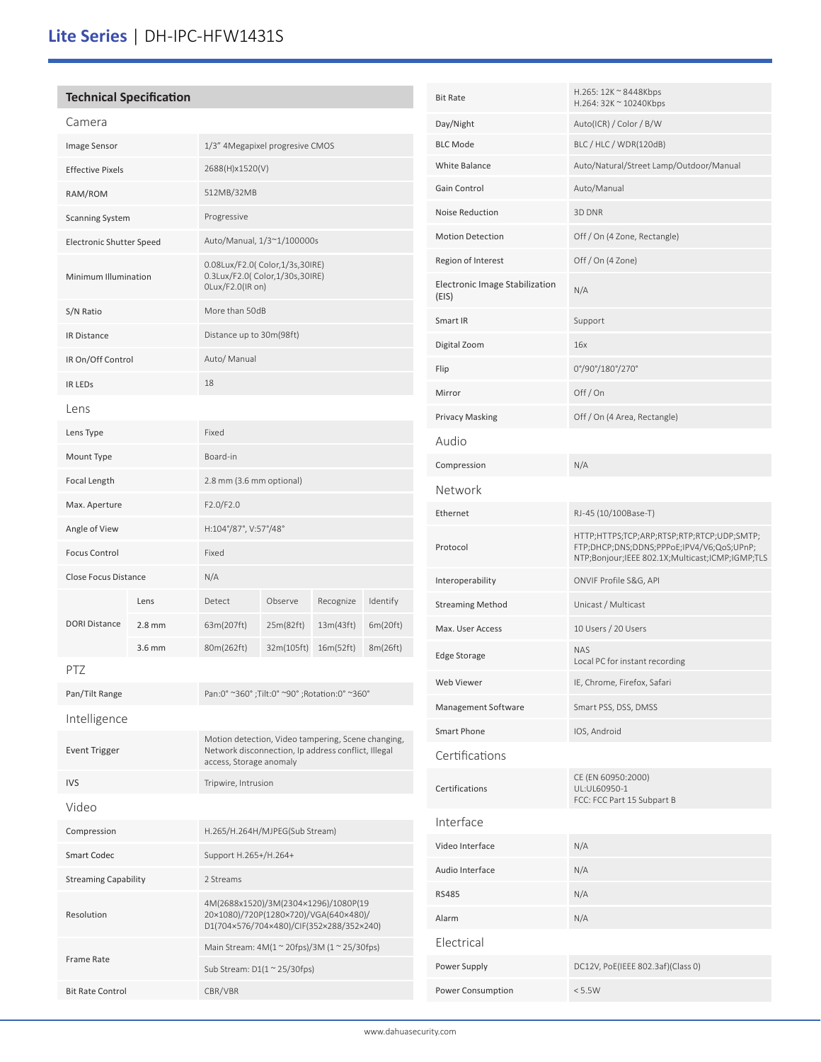# **Lite Series** | DH-IPC-HFW1431S

| <b>Technical Specification</b> |          |                                                                                                                                      |                                               |           |          |  |
|--------------------------------|----------|--------------------------------------------------------------------------------------------------------------------------------------|-----------------------------------------------|-----------|----------|--|
| Camera                         |          |                                                                                                                                      |                                               |           |          |  |
| Image Sensor                   |          | 1/3" 4Megapixel progresive CMOS                                                                                                      |                                               |           |          |  |
| <b>Effective Pixels</b>        |          |                                                                                                                                      | 2688(H)x1520(V)                               |           |          |  |
| RAM/ROM                        |          | 512MB/32MB                                                                                                                           |                                               |           |          |  |
| <b>Scanning System</b>         |          | Progressive                                                                                                                          |                                               |           |          |  |
| Electronic Shutter Speed       |          | Auto/Manual, 1/3~1/100000s                                                                                                           |                                               |           |          |  |
| Minimum Illumination           |          | 0.08Lux/F2.0( Color, 1/3s, 30IRE)<br>0.3Lux/F2.0( Color,1/30s,30IRE)<br>OLux/F2.0(IR on)                                             |                                               |           |          |  |
| S/N Ratio                      |          | More than 50dB                                                                                                                       |                                               |           |          |  |
| <b>IR Distance</b>             |          | Distance up to 30m(98ft)                                                                                                             |                                               |           |          |  |
| IR On/Off Control              |          | Auto/ Manual                                                                                                                         |                                               |           |          |  |
| <b>IR LEDS</b>                 |          | 18                                                                                                                                   |                                               |           |          |  |
| Lens                           |          |                                                                                                                                      |                                               |           |          |  |
| Lens Type                      |          | Fixed                                                                                                                                |                                               |           |          |  |
| Mount Type                     |          | Board-in                                                                                                                             |                                               |           |          |  |
| Focal Length                   |          | 2.8 mm (3.6 mm optional)                                                                                                             |                                               |           |          |  |
| Max. Aperture                  |          | F2.0/F2.0                                                                                                                            |                                               |           |          |  |
| Angle of View                  |          | H:104°/87°, V:57°/48°                                                                                                                |                                               |           |          |  |
| <b>Focus Control</b>           |          | Fixed                                                                                                                                |                                               |           |          |  |
| Close Focus Distance           |          | N/A                                                                                                                                  |                                               |           |          |  |
|                                | Lens     | Detect                                                                                                                               | Observe                                       | Recognize | Identify |  |
| <b>DORI Distance</b>           | $2.8$ mm | 63m(207ft)                                                                                                                           | 25m(82ft)                                     | 13m(43ft) | 6m(20ft) |  |
|                                | $3.6$ mm | 80m(262ft)                                                                                                                           | 32m(105ft)                                    | 16m(52ft) | 8m(26ft) |  |
| PTZ                            |          |                                                                                                                                      |                                               |           |          |  |
| Pan/Tilt Range                 |          |                                                                                                                                      | Pan:0° ~360°; Tilt:0° ~90°; Rotation:0° ~360° |           |          |  |
| Intelligence                   |          |                                                                                                                                      |                                               |           |          |  |
| <b>Event Trigger</b>           |          | Motion detection, Video tampering, Scene changing,<br>Network disconnection, Ip address conflict, Illegal<br>access, Storage anomaly |                                               |           |          |  |
| <b>IVS</b>                     |          | Tripwire, Intrusion                                                                                                                  |                                               |           |          |  |
| Video                          |          |                                                                                                                                      |                                               |           |          |  |
| Compression                    |          | H.265/H.264H/MJPEG(Sub Stream)                                                                                                       |                                               |           |          |  |
| <b>Smart Codec</b>             |          | Support H.265+/H.264+                                                                                                                |                                               |           |          |  |
| <b>Streaming Capability</b>    |          | 2 Streams                                                                                                                            |                                               |           |          |  |
| Resolution                     |          | 4M(2688x1520)/3M(2304×1296)/1080P(19<br>20×1080)/720P(1280×720)/VGA(640×480)/<br>D1(704×576/704×480)/CIF(352×288/352×240)            |                                               |           |          |  |
| Frame Rate                     |          | Main Stream: 4M(1 ~ 20fps)/3M (1 ~ 25/30fps)                                                                                         |                                               |           |          |  |
|                                |          |                                                                                                                                      | Sub Stream: $D1(1 \approx 25/30$ fps)         |           |          |  |
| <b>Bit Rate Control</b>        |          | CBR/VBR                                                                                                                              |                                               |           |          |  |

| <b>Bit Rate</b>                         | H.265: 12K ~ 8448Kbps<br>H.264: 32K ~ 10240Kbps                                                                                            |  |  |  |  |
|-----------------------------------------|--------------------------------------------------------------------------------------------------------------------------------------------|--|--|--|--|
| Day/Night                               | Auto(ICR) / Color / B/W                                                                                                                    |  |  |  |  |
| <b>BLC Mode</b>                         | BLC / HLC / WDR(120dB)                                                                                                                     |  |  |  |  |
| White Balance                           | Auto/Natural/Street Lamp/Outdoor/Manual                                                                                                    |  |  |  |  |
| Gain Control                            | Auto/Manual                                                                                                                                |  |  |  |  |
| Noise Reduction                         | 3D DNR                                                                                                                                     |  |  |  |  |
| <b>Motion Detection</b>                 | Off / On (4 Zone, Rectangle)                                                                                                               |  |  |  |  |
| Region of Interest                      | Off / On (4 Zone)                                                                                                                          |  |  |  |  |
| Electronic Image Stabilization<br>(EIS) | N/A                                                                                                                                        |  |  |  |  |
| Smart IR                                | Support                                                                                                                                    |  |  |  |  |
| Digital Zoom                            | 16x                                                                                                                                        |  |  |  |  |
| Flip                                    | 0°/90°/180°/270°                                                                                                                           |  |  |  |  |
| Mirror                                  | Off/On                                                                                                                                     |  |  |  |  |
| <b>Privacy Masking</b>                  | Off / On (4 Area, Rectangle)                                                                                                               |  |  |  |  |
| Audio                                   |                                                                                                                                            |  |  |  |  |
| Compression                             | N/A                                                                                                                                        |  |  |  |  |
| Network                                 |                                                                                                                                            |  |  |  |  |
| Ethernet                                | RJ-45 (10/100Base-T)                                                                                                                       |  |  |  |  |
| Protocol                                | HTTP;HTTPS;TCP;ARP;RTSP;RTP;RTCP;UDP;SMTP;<br>FTP;DHCP;DNS;DDNS;PPPoE;IPV4/V6;QoS;UPnP;<br>NTP;Bonjour;IEEE 802.1X;Multicast;ICMP;IGMP;TLS |  |  |  |  |
| Interoperability                        | ONVIF Profile S&G, API                                                                                                                     |  |  |  |  |
| <b>Streaming Method</b>                 | Unicast / Multicast                                                                                                                        |  |  |  |  |
| Max. User Access                        | 10 Users / 20 Users                                                                                                                        |  |  |  |  |
| Edge Storage                            | <b>NAS</b><br>Local PC for instant recording                                                                                               |  |  |  |  |
| Web Viewer                              | IE, Chrome, Firefox, Safari                                                                                                                |  |  |  |  |
| Management Software                     | Smart PSS, DSS, DMSS                                                                                                                       |  |  |  |  |
| Smart Phone                             | IOS, Android                                                                                                                               |  |  |  |  |
| Certifications                          |                                                                                                                                            |  |  |  |  |
| Certifications                          | CE (EN 60950:2000)<br>UL:UL60950-1<br>FCC: FCC Part 15 Subpart B                                                                           |  |  |  |  |
| Interface                               |                                                                                                                                            |  |  |  |  |
| Video Interface                         | N/A                                                                                                                                        |  |  |  |  |
| Audio Interface                         | N/A                                                                                                                                        |  |  |  |  |
| <b>RS485</b>                            | N/A                                                                                                                                        |  |  |  |  |
| Alarm                                   | N/A                                                                                                                                        |  |  |  |  |
| Electrical                              |                                                                                                                                            |  |  |  |  |
| Power Supply                            | DC12V, PoE(IEEE 802.3af)(Class 0)                                                                                                          |  |  |  |  |
| Power Consumption                       | < 5.5W                                                                                                                                     |  |  |  |  |